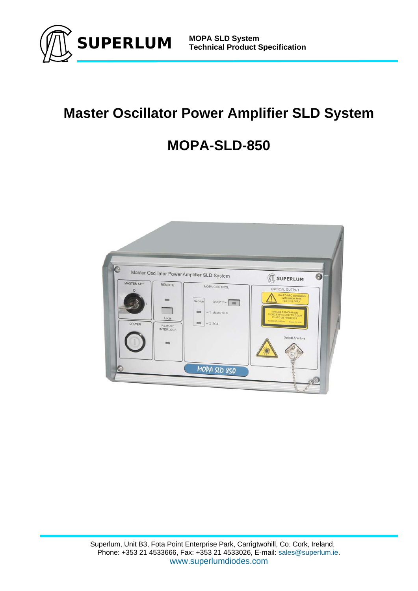

# **Master Oscillator Power Amplifier SLD System**

# **MOPA-SLD-850**

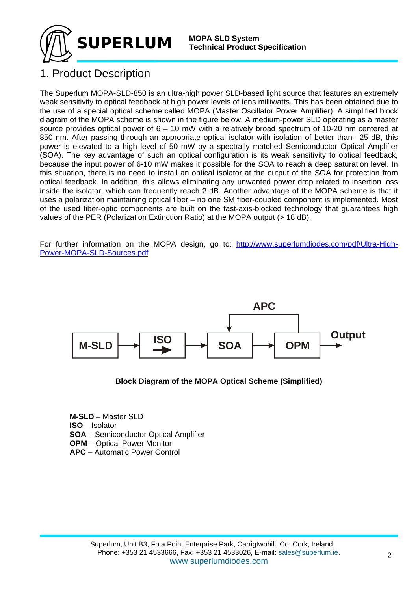

### 1. Product Description

The Superlum MOPA-SLD-850 is an ultra-high power SLD-based light source that features an extremely weak sensitivity to optical feedback at high power levels of tens milliwatts. This has been obtained due to the use of a special optical scheme called MOPA (Master Oscillator Power Amplifier). A simplified block diagram of the MOPA scheme is shown in the figure below. A medium-power SLD operating as a master source provides optical power of 6 – 10 mW with a relatively broad spectrum of 10-20 nm centered at 850 nm. After passing through an appropriate optical isolator with isolation of better than –25 dB, this power is elevated to a high level of 50 mW by a spectrally matched Semiconductor Optical Amplifier (SOA). The key advantage of such an optical configuration is its weak sensitivity to optical feedback, because the input power of 6-10 mW makes it possible for the SOA to reach a deep saturation level. In this situation, there is no need to install an optical isolator at the output of the SOA for protection from optical feedback. In addition, this allows eliminating any unwanted power drop related to insertion loss inside the isolator, which can frequently reach 2 dB. Another advantage of the MOPA scheme is that it uses a polarization maintaining optical fiber – no one SM fiber-coupled component is implemented. Most of the used fiber-optic components are built on the fast-axis-blocked technology that guarantees high values of the PER (Polarization Extinction Ratio) at the MOPA output (> 18 dB).

For further information on the MOPA design, go to: http://www.superlumdiodes.com/pdf/Ultra-High-Power-MOPA-SLD-Sources.pdf



**Block Diagram of the MOPA Optical Scheme (Simplified)** 

**M-SLD** – Master SLD **ISO** – Isolator **SOA** – Semiconductor Optical Amplifier **OPM** – Optical Power Monitor **APC** – Automatic Power Control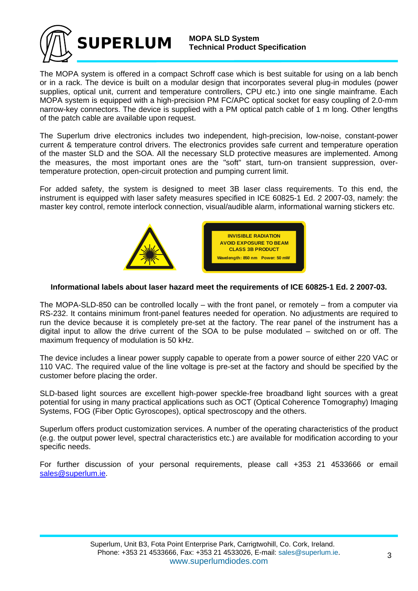

The MOPA system is offered in a compact Schroff case which is best suitable for using on a lab bench or in a rack. The device is built on a modular design that incorporates several plug-in modules (power supplies, optical unit, current and temperature controllers, CPU etc.) into one single mainframe. Each MOPA system is equipped with a high-precision PM FC/APC optical socket for easy coupling of 2.0-mm narrow-key connectors. The device is supplied with a PM optical patch cable of 1 m long. Other lengths of the patch cable are available upon request.

The Superlum drive electronics includes two independent, high-precision, low-noise, constant-power current & temperature control drivers. The electronics provides safe current and temperature operation of the master SLD and the SOA. All the necessary SLD protective measures are implemented. Among the measures, the most important ones are the "soft" start, turn-on transient suppression, overtemperature protection, open-circuit protection and pumping current limit.

For added safety, the system is designed to meet 3B laser class requirements. To this end, the instrument is equipped with laser safety measures specified in ICE 60825-1 Ed. 2 2007-03, namely: the master key control, remote interlock connection, visual/audible alarm, informational warning stickers etc.



#### **Informational labels about laser hazard meet the requirements of ICE 60825-1 Ed. 2 2007-03.**

The MOPA-SLD-850 can be controlled locally – with the front panel, or remotely – from a computer via RS-232. It contains minimum front-panel features needed for operation. No adjustments are required to run the device because it is completely pre-set at the factory. The rear panel of the instrument has a digital input to allow the drive current of the SOA to be pulse modulated – switched on or off. The maximum frequency of modulation is 50 kHz.

The device includes a linear power supply capable to operate from a power source of either 220 VAC or 110 VAC. The required value of the line voltage is pre-set at the factory and should be specified by the customer before placing the order.

SLD-based light sources are excellent high-power speckle-free broadband light sources with a great potential for using in many practical applications such as OCT (Optical Coherence Tomography) Imaging Systems, FOG (Fiber Optic Gyroscopes), optical spectroscopy and the others.

Superlum offers product customization services. A number of the operating characteristics of the product (e.g. the output power level, spectral characteristics etc.) are available for modification according to your specific needs.

For further discussion of your personal requirements, please call +353 21 4533666 or email sales@superlum.ie.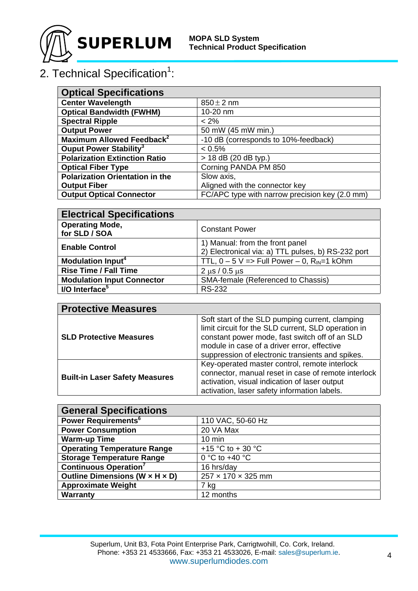

## 2. Technical Specification<sup>1</sup>:

| <b>Optical Specifications</b>          |                                                |
|----------------------------------------|------------------------------------------------|
| <b>Center Wavelength</b>               | $850 \pm 2$ nm                                 |
| <b>Optical Bandwidth (FWHM)</b>        | 10-20 nm                                       |
| <b>Spectral Ripple</b>                 | $< 2\%$                                        |
| <b>Output Power</b>                    | 50 mW (45 mW min.)                             |
| Maximum Allowed Feedback <sup>2</sup>  | -10 dB (corresponds to 10%-feedback)           |
| Ouput Power Stability <sup>3</sup>     | $< 0.5\%$                                      |
| <b>Polarization Extinction Ratio</b>   | $> 18$ dB (20 dB typ.)                         |
| <b>Optical Fiber Type</b>              | Corning PANDA PM 850                           |
| <b>Polarization Orientation in the</b> | Slow axis,                                     |
| <b>Output Fiber</b>                    | Aligned with the connector key                 |
| <b>Output Optical Connector</b>        | FC/APC type with narrow precision key (2.0 mm) |

| <b>Electrical Specifications</b>        |                                                                                       |  |
|-----------------------------------------|---------------------------------------------------------------------------------------|--|
| <b>Operating Mode,</b><br>for SLD / SOA | <b>Constant Power</b>                                                                 |  |
| <b>Enable Control</b>                   | 1) Manual: from the front panel<br>2) Electronical via: a) TTL pulses, b) RS-232 port |  |
| <b>Modulation Input<sup>4</sup></b>     | TTL, $0 - 5$ V => Full Power $- 0$ , R <sub>IN</sub> =1 kOhm                          |  |
| <b>Rise Time / Fall Time</b>            | $2 \mu s / 0.5 \mu s$                                                                 |  |
| <b>Modulation Input Connector</b>       | SMA-female (Referenced to Chassis)                                                    |  |
| I/O Interface <sup>5</sup>              | <b>RS-232</b>                                                                         |  |

| <b>Protective Measures</b>            |                                                                                                                                                                                                                                                             |
|---------------------------------------|-------------------------------------------------------------------------------------------------------------------------------------------------------------------------------------------------------------------------------------------------------------|
| <b>SLD Protective Measures</b>        | Soft start of the SLD pumping current, clamping<br>limit circuit for the SLD current, SLD operation in<br>constant power mode, fast switch off of an SLD<br>module in case of a driver error, effective<br>suppression of electronic transients and spikes. |
| <b>Built-in Laser Safety Measures</b> | Key-operated master control, remote interlock<br>connector, manual reset in case of remote interlock<br>activation, visual indication of laser output<br>activation, laser safety information labels.                                                       |

| <b>General Specifications</b>      |                         |  |
|------------------------------------|-------------------------|--|
| Power Requirements <sup>6</sup>    | 110 VAC, 50-60 Hz       |  |
| <b>Power Consumption</b>           | 20 VA Max               |  |
| <b>Warm-up Time</b>                | $10 \text{ min}$        |  |
| <b>Operating Temperature Range</b> | +15 °C to + 30 °C       |  |
| <b>Storage Temperature Range</b>   | 0 °C to +40 $\degree$ C |  |
| <b>Continuous Operation</b> 7      | 16 hrs/day              |  |
| Outline Dimensions (W x H x D)     | 257 x 170 x 325 mm      |  |
| <b>Approximate Weight</b>          | 7 kg                    |  |
| <b>Warranty</b>                    | 12 months               |  |